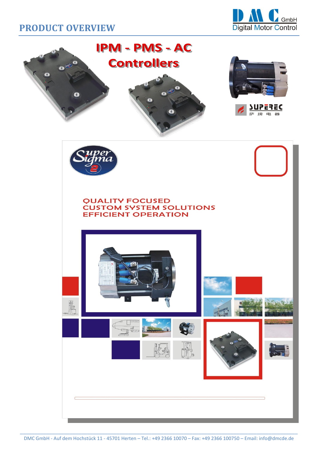

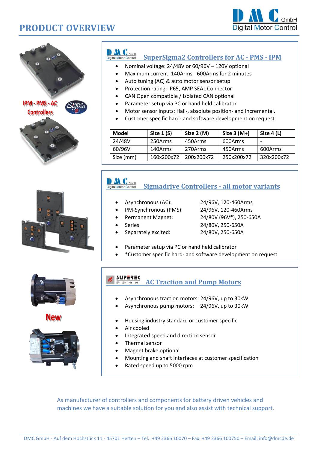





### DAL GmbH

#### **SuperSigma2 Controllers for AC - PMS - IPM**

- Nominal voltage: 24/48V or 60/96V 120V optional
- Maximum current: 140Arms 600Arms for 2 minutes
- Auto tuning (AC) & auto motor sensor setup
- Protection rating: IP65, AMP SEAL Connector
- CAN Open compatible / Isolated CAN optional
- Parameter setup via PC or hand held calibrator
- Motor sensor inputs: Hall-, absolute position- and Incremental.
- Customer specific hard- and software development on request

| <b>Model</b> | Size $1(S)$ | Size 2 (M) | Size $3(M+)$ | Size $4(L)$ |
|--------------|-------------|------------|--------------|-------------|
| 24/48V       | 250Arms     | 450Arms    | 600Arms      |             |
| 60/96V       | 140Arms     | 270Arms    | 450Arms      | 600Arms     |
| Size (mm)    | 160x200x72  | 200x200x72 | 250x200x72   | 320x200x72  |

# Digital Motor Control

### **Sigmadrive Controllers - all motor variants**

- Asynchronous (AC): 24/96V, 120-460Arms
	-
- 
- PM-Synchronous (PMS): 24/96V, 120-460Arms
- 
- Permanent Magnet: 24/80V (96V\*), 250-650A
- 
- Series: 24/80V, 250-650A
- Separately excited: 24/80V, 250-650A
	-
- Parameter setup via PC or hand held calibrator
- \*Customer specific hard- and software development on request



**New** 



•

### **AC Traction and Pump Motors**

- Asynchronous traction motors: 24/96V, up to 30kW
- Asynchronous pump motors: 24/96V, up to 30kW
- Housing industry standard or customer specific
- Air cooled
	- Integrated speed and direction sensor
- Thermal sensor
- Magnet brake optional
- Mounting and shaft interfaces at customer specification
- Rated speed up to 5000 rpm

As manufacturer of controllers and components for battery driven vehicles and machines we have a suitable solution for you and also assist with technical support.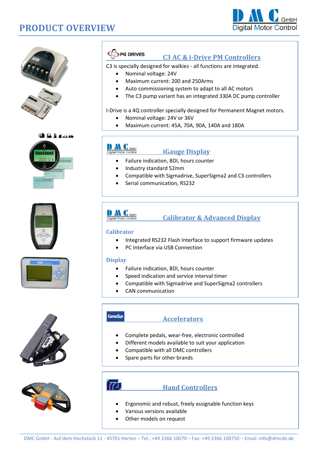















#### PG DRIVES

#### **C3 AC & i-Drive PM Controllers**

C3 is specially designed for walkies - all functions are integrated.

- Nominal voltage: 24V
- Maximum current: 200 and 250Arms
- Auto commissioning system to adapt to all AC motors
- The C3 pump variant has an integrated 330A DC pump controller

#### I-Drive is a 4Q controller specially designed for Permanent Magnet motors.

- Nominal voltage: 24V or 36V
- Maximum current: 45A, 70A, 90A, 140A and 180A

## Digital Motor Control

#### **iGauge Display**

- Failure indication, BDI, hours counter
- Industry standard 52mm
- Compatible with Sigmadrive, SuperSigma2 and C3 controllers

 $\mathcal{F}(\mathcal{A})$  is considered to the Hardware- und  $\mathcal{F}(\mathcal{A})$  and  $\mathcal{F}(\mathcal{A})$ 

Serial communication, RS232



#### **Calibrator & Advanced Display**

#### **Calibrator**

- Integrated RS232 Flash Interface to support firmware updates
- PC Interface via USB Connection

#### **Display**

- Failure indication, BDI, hours counter
- Speed indication and service interval timer
- Compatible with Sigmadrive and SuperSigma2 controllers
- CAN communication
- **ComeSus**

#### **Accelerators**

- Complete pedals, wear-free, electronic controlled
- Different models available to suit your application
- Compatible with all DMC controllers
- Spare parts for other brands



#### **Hand Controllers**

- Ergonomic and robust, freely assignable function keys
- Various versions available
- Other models on request